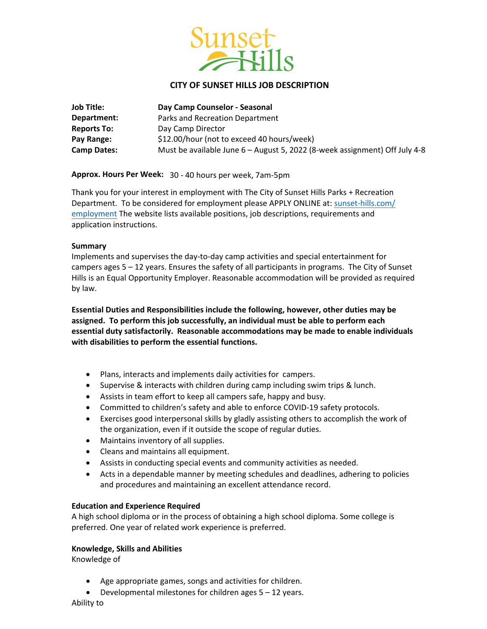

# **CITY OF SUNSET HILLS JOB DESCRIPTION**

| <b>Job Title:</b>  | Day Camp Counselor - Seasonal                                              |
|--------------------|----------------------------------------------------------------------------|
| Department:        | Parks and Recreation Department                                            |
| <b>Reports To:</b> | Day Camp Director                                                          |
| Pay Range:         | \$12.00/hour (not to exceed 40 hours/week)                                 |
| <b>Camp Dates:</b> | Must be available June 6 - August 5, 2022 (8-week assignment) Off July 4-8 |

**Approx. Hours Per Week:** 30 - 40 hours per week, 7am-5pm

Thank you for your interest in employment with The City of Sunset Hills Parks + Recreation Department. To be considered for employment please APPLY ONLINE at: [sunset-hills.com/](https://www.sunset-hills.com/FormCenter/Parks-Recreation-9/PartTime-Employment-Application-77) employment The website lists available positions, job descriptions, requirements and application instructions.

### **Summary**

Implements and supervises the day-to-day camp activities and special entertainment for campers ages 5 – 12 years. Ensures the safety of all participants in programs. The City of Sunset Hills is an Equal Opportunity Employer. Reasonable accommodation will be provided as required by law.

**Essential Duties and Responsibilities include the following, however, other duties may be assigned. To perform this job successfully, an individual must be able to perform each essential duty satisfactorily. Reasonable accommodations may be made to enable individuals with disabilities to perform the essential functions.** 

- Plans, interacts and implements daily activities for campers.
- Supervise & interacts with children during camp including swim trips & lunch.
- Assists in team effort to keep all campers safe, happy and busy.
- Committed to children's safety and able to enforce COVID-19 safety protocols.
- Exercises good interpersonal skills by gladly assisting others to accomplish the work of the organization, even if it outside the scope of regular duties.
- Maintains inventory of all supplies.
- Cleans and maintains all equipment.
- Assists in conducting special events and community activities as needed.
- Acts in a dependable manner by meeting schedules and deadlines, adhering to policies and procedures and maintaining an excellent attendance record.

## **Education and Experience Required**

A high school diploma or in the process of obtaining a high school diploma. Some college is preferred. One year of related work experience is preferred.

## **Knowledge, Skills and Abilities**

Knowledge of

- Age appropriate games, songs and activities for children.
- Developmental milestones for children ages 5 12 years.